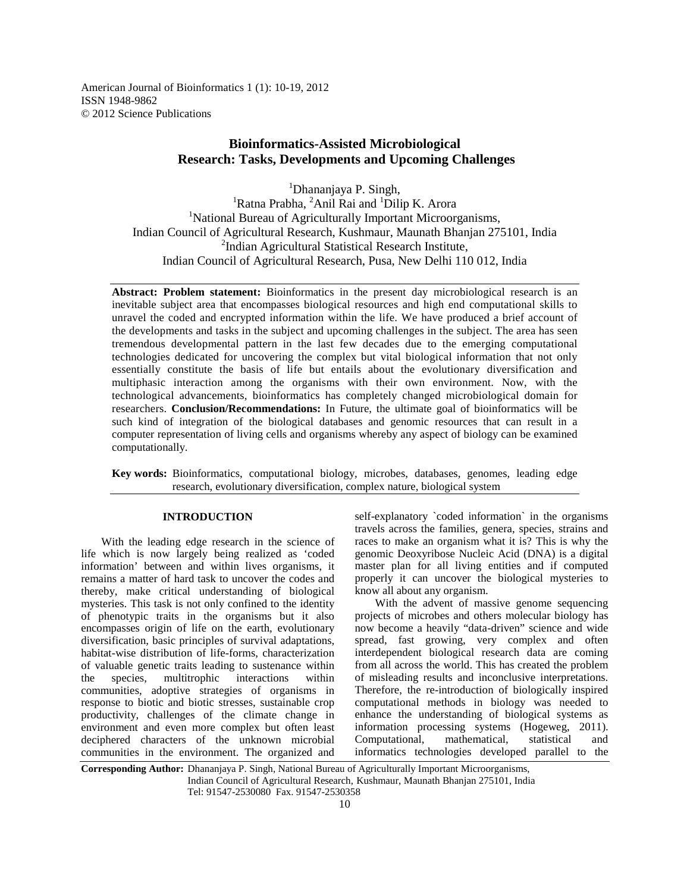American Journal of Bioinformatics 1 (1): 10-19, 2012 ISSN 1948-9862 © 2012 Science Publications

# **Bioinformatics-Assisted Microbiological Research: Tasks, Developments and Upcoming Challenges**

 ${}^{1}$ Dhananjaya P. Singh, <sup>1</sup>Ratna Prabha, <sup>2</sup>Anil Rai and <sup>1</sup>Dilip K. Arora <sup>1</sup>National Bureau of Agriculturally Important Microorganisms, Indian Council of Agricultural Research, Kushmaur, Maunath Bhanjan 275101, India <sup>2</sup>Indian Agricultural Statistical Research Institute, Indian Council of Agricultural Research, Pusa, New Delhi 110 012, India

**Abstract: Problem statement:** Bioinformatics in the present day microbiological research is an inevitable subject area that encompasses biological resources and high end computational skills to unravel the coded and encrypted information within the life. We have produced a brief account of the developments and tasks in the subject and upcoming challenges in the subject. The area has seen tremendous developmental pattern in the last few decades due to the emerging computational technologies dedicated for uncovering the complex but vital biological information that not only essentially constitute the basis of life but entails about the evolutionary diversification and multiphasic interaction among the organisms with their own environment. Now, with the technological advancements, bioinformatics has completely changed microbiological domain for researchers. **Conclusion/Recommendations:** In Future, the ultimate goal of bioinformatics will be such kind of integration of the biological databases and genomic resources that can result in a computer representation of living cells and organisms whereby any aspect of biology can be examined computationally.

**Key words:** Bioinformatics, computational biology, microbes, databases, genomes, leading edge research, evolutionary diversification, complex nature, biological system

## **INTRODUCTION**

 With the leading edge research in the science of life which is now largely being realized as 'coded information' between and within lives organisms, it remains a matter of hard task to uncover the codes and thereby, make critical understanding of biological mysteries. This task is not only confined to the identity of phenotypic traits in the organisms but it also encompasses origin of life on the earth, evolutionary diversification, basic principles of survival adaptations, habitat-wise distribution of life-forms, characterization of valuable genetic traits leading to sustenance within the species, multitrophic interactions within communities, adoptive strategies of organisms in response to biotic and biotic stresses, sustainable crop productivity, challenges of the climate change in environment and even more complex but often least deciphered characters of the unknown microbial communities in the environment. The organized and

self-explanatory `coded information` in the organisms travels across the families, genera, species, strains and races to make an organism what it is? This is why the genomic Deoxyribose Nucleic Acid (DNA) is a digital master plan for all living entities and if computed properly it can uncover the biological mysteries to know all about any organism.

 With the advent of massive genome sequencing projects of microbes and others molecular biology has now become a heavily "data-driven" science and wide spread, fast growing, very complex and often interdependent biological research data are coming from all across the world. This has created the problem of misleading results and inconclusive interpretations. Therefore, the re-introduction of biologically inspired computational methods in biology was needed to enhance the understanding of biological systems as information processing systems (Hogeweg, 2011). Computational, mathematical, statistical and informatics technologies developed parallel to the

**Corresponding Author:** Dhananjaya P. Singh, National Bureau of Agriculturally Important Microorganisms, Indian Council of Agricultural Research, Kushmaur, Maunath Bhanjan 275101, India Tel: 91547-2530080 Fax. 91547-2530358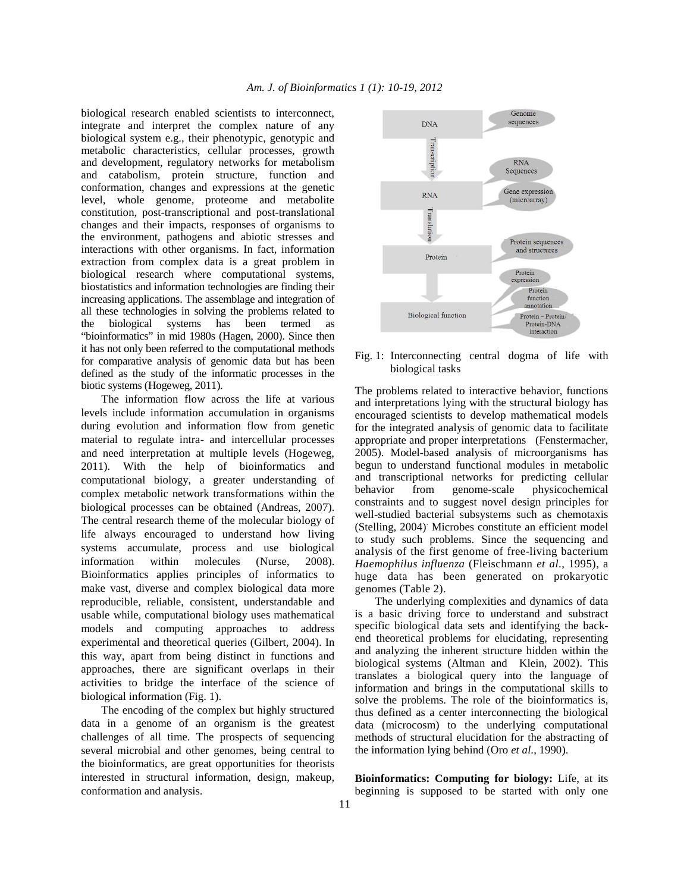biological research enabled scientists to interconnect, integrate and interpret the complex nature of any biological system e.g., their phenotypic, genotypic and metabolic characteristics, cellular processes, growth and development, regulatory networks for metabolism and catabolism, protein structure, function and conformation, changes and expressions at the genetic level, whole genome, proteome and metabolite constitution, post-transcriptional and post-translational changes and their impacts, responses of organisms to the environment, pathogens and abiotic stresses and interactions with other organisms. In fact, information extraction from complex data is a great problem in biological research where computational systems, biostatistics and information technologies are finding their increasing applications. The assemblage and integration of all these technologies in solving the problems related to the biological systems has been termed as "bioinformatics" in mid 1980s (Hagen, 2000). Since then it has not only been referred to the computational methods for comparative analysis of genomic data but has been defined as the study of the informatic processes in the biotic systems (Hogeweg, 2011).

 The information flow across the life at various levels include information accumulation in organisms during evolution and information flow from genetic material to regulate intra- and intercellular processes and need interpretation at multiple levels (Hogeweg, 2011). With the help of bioinformatics and computational biology, a greater understanding of complex metabolic network transformations within the biological processes can be obtained (Andreas, 2007). The central research theme of the molecular biology of life always encouraged to understand how living systems accumulate, process and use biological information within molecules (Nurse, 2008). Bioinformatics applies principles of informatics to make vast, diverse and complex biological data more reproducible, reliable, consistent, understandable and usable while, computational biology uses mathematical models and computing approaches to address experimental and theoretical queries (Gilbert, 2004). In this way, apart from being distinct in functions and approaches, there are significant overlaps in their activities to bridge the interface of the science of biological information (Fig. 1).

 The encoding of the complex but highly structured data in a genome of an organism is the greatest challenges of all time. The prospects of sequencing several microbial and other genomes, being central to the bioinformatics, are great opportunities for theorists interested in structural information, design, makeup, conformation and analysis.



Fig. 1: Interconnecting central dogma of life with biological tasks

The problems related to interactive behavior, functions and interpretations lying with the structural biology has encouraged scientists to develop mathematical models for the integrated analysis of genomic data to facilitate appropriate and proper interpretations (Fenstermacher, 2005). Model-based analysis of microorganisms has begun to understand functional modules in metabolic and transcriptional networks for predicting cellular behavior from genome-scale physicochemical constraints and to suggest novel design principles for well-studied bacterial subsystems such as chemotaxis (Stelling, 2004). Microbes constitute an efficient model to study such problems. Since the sequencing and analysis of the first genome of free-living bacterium *Haemophilus influenza* (Fleischmann *et al*., 1995), a huge data has been generated on prokaryotic genomes (Table 2).

 The underlying complexities and dynamics of data is a basic driving force to understand and substract specific biological data sets and identifying the backend theoretical problems for elucidating, representing and analyzing the inherent structure hidden within the biological systems (Altman and Klein, 2002). This translates a biological query into the language of information and brings in the computational skills to solve the problems. The role of the bioinformatics is, thus defined as a center interconnecting the biological data (microcosm) to the underlying computational methods of structural elucidation for the abstracting of the information lying behind (Oro *et al*., 1990).

**Bioinformatics: Computing for biology:** Life, at its beginning is supposed to be started with only one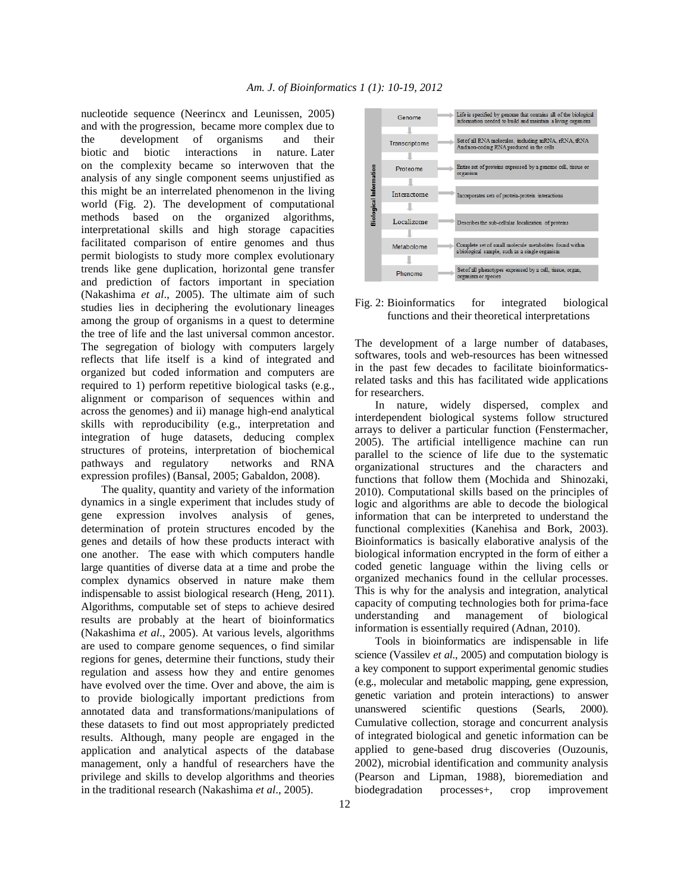nucleotide sequence (Neerincx and Leunissen, 2005) and with the progression, became more complex due to the development of organisms and their biotic and biotic interactions in nature. Later on the complexity became so interwoven that the analysis of any single component seems unjustified as this might be an interrelated phenomenon in the living world (Fig. 2). The development of computational methods based on the organized algorithms, interpretational skills and high storage capacities facilitated comparison of entire genomes and thus permit biologists to study more complex evolutionary trends like gene duplication, horizontal gene transfer and prediction of factors important in speciation (Nakashima *et al*., 2005). The ultimate aim of such studies lies in deciphering the evolutionary lineages among the group of organisms in a quest to determine the tree of life and the last universal common ancestor. The segregation of biology with computers largely reflects that life itself is a kind of integrated and organized but coded information and computers are required to 1) perform repetitive biological tasks (e.g., alignment or comparison of sequences within and across the genomes) and ii) manage high-end analytical skills with reproducibility (e.g., interpretation and integration of huge datasets, deducing complex structures of proteins, interpretation of biochemical pathways and regulatory networks and RNA expression profiles) (Bansal, 2005; Gabaldon, 2008).

 The quality, quantity and variety of the information dynamics in a single experiment that includes study of gene expression involves analysis of genes, determination of protein structures encoded by the genes and details of how these products interact with one another. The ease with which computers handle large quantities of diverse data at a time and probe the complex dynamics observed in nature make them indispensable to assist biological research (Heng, 2011). Algorithms, computable set of steps to achieve desired results are probably at the heart of bioinformatics (Nakashima *et al*., 2005). At various levels, algorithms are used to compare genome sequences, o find similar regions for genes, determine their functions, study their regulation and assess how they and entire genomes have evolved over the time. Over and above, the aim is to provide biologically important predictions from annotated data and transformations/manipulations of these datasets to find out most appropriately predicted results. Although, many people are engaged in the application and analytical aspects of the database management, only a handful of researchers have the privilege and skills to develop algorithms and theories in the traditional research (Nakashima *et al*., 2005).



Fig. 2: Bioinformatics for integrated biological functions and their theoretical interpretations

The development of a large number of databases, softwares, tools and web-resources has been witnessed in the past few decades to facilitate bioinformaticsrelated tasks and this has facilitated wide applications for researchers.

 In nature, widely dispersed, complex and interdependent biological systems follow structured arrays to deliver a particular function (Fenstermacher, 2005). The artificial intelligence machine can run parallel to the science of life due to the systematic organizational structures and the characters and functions that follow them (Mochida and Shinozaki, 2010). Computational skills based on the principles of logic and algorithms are able to decode the biological information that can be interpreted to understand the functional complexities (Kanehisa and Bork, 2003). Bioinformatics is basically elaborative analysis of the biological information encrypted in the form of either a coded genetic language within the living cells or organized mechanics found in the cellular processes. This is why for the analysis and integration, analytical capacity of computing technologies both for prima-face understanding and management of biological information is essentially required (Adnan, 2010).

 Tools in bioinformatics are indispensable in life science (Vassilev *et al*., 2005) and computation biology is a key component to support experimental genomic studies (e.g., molecular and metabolic mapping, gene expression, genetic variation and protein interactions) to answer unanswered scientific questions (Searls, 2000). Cumulative collection, storage and concurrent analysis of integrated biological and genetic information can be applied to gene-based drug discoveries (Ouzounis, 2002), microbial identification and community analysis (Pearson and Lipman, 1988), bioremediation and biodegradation processes+, crop improvement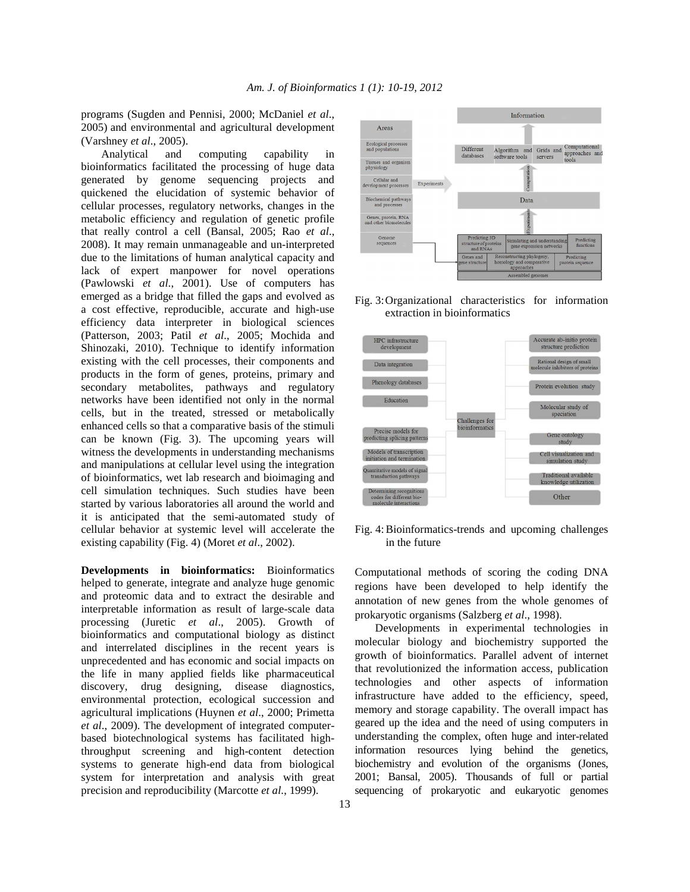programs (Sugden and Pennisi, 2000; McDaniel *et al*., 2005) and environmental and agricultural development (Varshney *et al*., 2005).

 Analytical and computing capability in bioinformatics facilitated the processing of huge data generated by genome sequencing projects and quickened the elucidation of systemic behavior of cellular processes, regulatory networks, changes in the metabolic efficiency and regulation of genetic profile that really control a cell (Bansal, 2005; Rao *et al*., 2008). It may remain unmanageable and un-interpreted due to the limitations of human analytical capacity and lack of expert manpower for novel operations (Pawlowski *et al*., 2001). Use of computers has emerged as a bridge that filled the gaps and evolved as a cost effective, reproducible, accurate and high-use efficiency data interpreter in biological sciences (Patterson, 2003; Patil *et al*., 2005; Mochida and Shinozaki, 2010). Technique to identify information existing with the cell processes, their components and products in the form of genes, proteins, primary and secondary metabolites, pathways and regulatory networks have been identified not only in the normal cells, but in the treated, stressed or metabolically enhanced cells so that a comparative basis of the stimuli can be known (Fig. 3). The upcoming years will witness the developments in understanding mechanisms and manipulations at cellular level using the integration of bioinformatics, wet lab research and bioimaging and cell simulation techniques. Such studies have been started by various laboratories all around the world and it is anticipated that the semi-automated study of cellular behavior at systemic level will accelerate the existing capability (Fig. 4) (Moret *et al*., 2002).

**Developments in bioinformatics:** Bioinformatics helped to generate, integrate and analyze huge genomic and proteomic data and to extract the desirable and interpretable information as result of large-scale data processing (Juretic *et al*., 2005). Growth of bioinformatics and computational biology as distinct and interrelated disciplines in the recent years is unprecedented and has economic and social impacts on the life in many applied fields like pharmaceutical discovery, drug designing, disease diagnostics, environmental protection, ecological succession and agricultural implications (Huynen *et al*., 2000; Primetta *et al*., 2009). The development of integrated computerbased biotechnological systems has facilitated highthroughput screening and high-content detection systems to generate high-end data from biological system for interpretation and analysis with great precision and reproducibility (Marcotte *et al*., 1999).



Fig. 3: Organizational characteristics for information extraction in bioinformatics



Fig. 4: Bioinformatics-trends and upcoming challenges in the future

Computational methods of scoring the coding DNA regions have been developed to help identify the annotation of new genes from the whole genomes of prokaryotic organisms (Salzberg *et al*., 1998).

 Developments in experimental technologies in molecular biology and biochemistry supported the growth of bioinformatics. Parallel advent of internet that revolutionized the information access, publication technologies and other aspects of information infrastructure have added to the efficiency, speed, memory and storage capability. The overall impact has geared up the idea and the need of using computers in understanding the complex, often huge and inter-related information resources lying behind the genetics, biochemistry and evolution of the organisms (Jones, 2001; Bansal, 2005). Thousands of full or partial sequencing of prokaryotic and eukaryotic genomes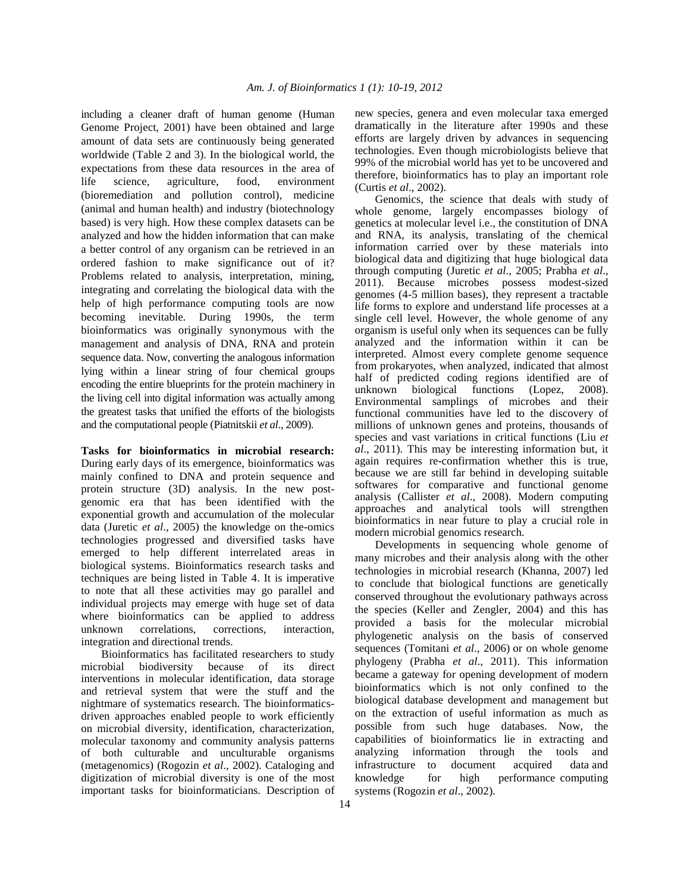including a cleaner draft of human genome (Human Genome Project, 2001) have been obtained and large amount of data sets are continuously being generated worldwide (Table 2 and 3). In the biological world, the expectations from these data resources in the area of life science, agriculture, food, environment (bioremediation and pollution control), medicine (animal and human health) and industry (biotechnology based) is very high. How these complex datasets can be analyzed and how the hidden information that can make a better control of any organism can be retrieved in an ordered fashion to make significance out of it? Problems related to analysis, interpretation, mining, integrating and correlating the biological data with the help of high performance computing tools are now becoming inevitable. During 1990s, the term bioinformatics was originally synonymous with the management and analysis of DNA, RNA and protein sequence data. Now, converting the analogous information lying within a linear string of four chemical groups encoding the entire blueprints for the protein machinery in the living cell into digital information was actually among the greatest tasks that unified the efforts of the biologists and the computational people (Piatnitskii *et al*., 2009).

**Tasks for bioinformatics in microbial research:**  During early days of its emergence, bioinformatics was mainly confined to DNA and protein sequence and protein structure (3D) analysis. In the new postgenomic era that has been identified with the exponential growth and accumulation of the molecular data (Juretic *et al*., 2005) the knowledge on the-omics technologies progressed and diversified tasks have emerged to help different interrelated areas in biological systems. Bioinformatics research tasks and techniques are being listed in Table 4. It is imperative to note that all these activities may go parallel and individual projects may emerge with huge set of data where bioinformatics can be applied to address unknown correlations, corrections, interaction, integration and directional trends.

 Bioinformatics has facilitated researchers to study microbial biodiversity because of its direct interventions in molecular identification, data storage and retrieval system that were the stuff and the nightmare of systematics research. The bioinformaticsdriven approaches enabled people to work efficiently on microbial diversity, identification, characterization, molecular taxonomy and community analysis patterns of both culturable and unculturable organisms (metagenomics) (Rogozin *et al*., 2002). Cataloging and digitization of microbial diversity is one of the most important tasks for bioinformaticians. Description of

new species, genera and even molecular taxa emerged dramatically in the literature after 1990s and these efforts are largely driven by advances in sequencing technologies. Even though microbiologists believe that 99% of the microbial world has yet to be uncovered and therefore, bioinformatics has to play an important role (Curtis *et al*., 2002).

 Genomics, the science that deals with study of whole genome, largely encompasses biology of genetics at molecular level i.e., the constitution of DNA and RNA, its analysis, translating of the chemical information carried over by these materials into biological data and digitizing that huge biological data through computing (Juretic *et al*., 2005; Prabha *et al*., 2011). Because microbes possess modest-sized genomes (4-5 million bases), they represent a tractable life forms to explore and understand life processes at a single cell level. However, the whole genome of any organism is useful only when its sequences can be fully analyzed and the information within it can be interpreted. Almost every complete genome sequence from prokaryotes, when analyzed, indicated that almost half of predicted coding regions identified are of unknown biological functions (Lopez, 2008). Environmental samplings of microbes and their functional communities have led to the discovery of millions of unknown genes and proteins, thousands of species and vast variations in critical functions (Liu *et al*., 2011). This may be interesting information but, it again requires re-confirmation whether this is true, because we are still far behind in developing suitable softwares for comparative and functional genome analysis (Callister *et al*., 2008). Modern computing approaches and analytical tools will strengthen bioinformatics in near future to play a crucial role in modern microbial genomics research.

 Developments in sequencing whole genome of many microbes and their analysis along with the other technologies in microbial research (Khanna, 2007) led to conclude that biological functions are genetically conserved throughout the evolutionary pathways across the species (Keller and Zengler, 2004) and this has provided a basis for the molecular microbial phylogenetic analysis on the basis of conserved sequences (Tomitani *et al*., 2006) or on whole genome phylogeny (Prabha *et al*., 2011). This information became a gateway for opening development of modern bioinformatics which is not only confined to the biological database development and management but on the extraction of useful information as much as possible from such huge databases. Now, the capabilities of bioinformatics lie in extracting and analyzing information through the tools and infrastructure to document acquired data and knowledge for high performance computing systems (Rogozin *et al*., 2002).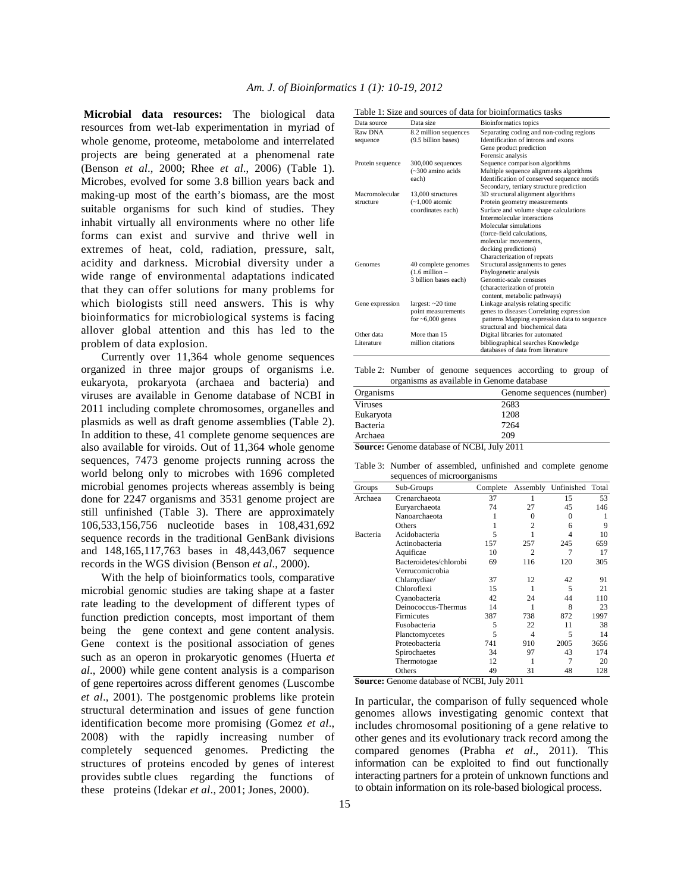**Microbial data resources:** The biological data resources from wet-lab experimentation in myriad of whole genome, proteome, metabolome and interrelated projects are being generated at a phenomenal rate (Benson *et al*., 2000; Rhee *et al*., 2006) (Table 1). Microbes, evolved for some 3.8 billion years back and making-up most of the earth's biomass, are the most suitable organisms for such kind of studies. They inhabit virtually all environments where no other life forms can exist and survive and thrive well in extremes of heat, cold, radiation, pressure, salt, acidity and darkness. Microbial diversity under a wide range of environmental adaptations indicated that they can offer solutions for many problems for which biologists still need answers. This is why bioinformatics for microbiological systems is facing allover global attention and this has led to the problem of data explosion.

 Currently over 11,364 whole genome sequences organized in three major groups of organisms i.e. eukaryota, prokaryota (archaea and bacteria) and viruses are available in Genome database of NCBI in 2011 including complete chromosomes, organelles and plasmids as well as draft genome assemblies (Table 2). In addition to these, 41 complete genome sequences are also available for viroids. Out of 11,364 whole genome sequences, 7473 genome projects running across the world belong only to microbes with 1696 completed microbial genomes projects whereas assembly is being done for 2247 organisms and 3531 genome project are still unfinished (Table 3). There are approximately 106,533,156,756 nucleotide bases in 108,431,692 sequence records in the traditional GenBank divisions and 148,165,117,763 bases in 48,443,067 sequence records in the WGS division (Benson *et al*., 2000).

 With the help of bioinformatics tools, comparative microbial genomic studies are taking shape at a faster rate leading to the development of different types of function prediction concepts, most important of them being the gene context and gene content analysis. Gene context is the positional association of genes such as an operon in prokaryotic genomes (Huerta *et al*., 2000) while gene content analysis is a comparison of gene repertoires across different genomes (Luscombe *et al*., 2001). The postgenomic problems like protein structural determination and issues of gene function identification become more promising (Gomez *et al*., 2008) with the rapidly increasing number of completely sequenced genomes. Predicting the structures of proteins encoded by genes of interest provides subtle clues regarding the functions of these proteins (Idekar *et al*., 2001; Jones, 2000).

|  | Table 1: Size and sources of data for bioinformatics tasks |
|--|------------------------------------------------------------|
|  |                                                            |

| Data source      | Data size                | <b>Bioinformatics topics</b>                 |
|------------------|--------------------------|----------------------------------------------|
| Raw DNA          | 8.2 million sequences    | Separating coding and non-coding regions     |
| sequence         | (9.5 billion bases)      | Identification of introns and exons          |
|                  |                          | Gene product prediction                      |
|                  |                          | Forensic analysis                            |
| Protein sequence | $300,000$ sequences      | Sequence comparison algorithms               |
|                  | $(-300)$ amino acids     | Multiple sequence alignments algorithms      |
|                  | each)                    | Identification of conserved sequence motifs  |
|                  |                          | Secondary, tertiary structure prediction     |
| Macromolecular   | 13,000 structures        | 3D structural alignment algorithms           |
| structure        | $(-1.000$ atomic         | Protein geometry measurements                |
|                  | coordinates each)        | Surface and volume shape calculations        |
|                  |                          | Intermolecular interactions                  |
|                  |                          | Molecular simulations                        |
|                  |                          | (force-field calculations,                   |
|                  |                          | molecular movements.                         |
|                  |                          | docking predictions)                         |
|                  |                          | Characterization of repeats                  |
| Genomes          | 40 complete genomes      | Structural assignments to genes              |
|                  | $(1.6 \text{ million} -$ | Phylogenetic analysis                        |
|                  | 3 billion bases each)    | Genomic-scale censuses                       |
|                  |                          | (characterization of protein                 |
|                  |                          | content, metabolic pathways)                 |
| Gene expression  | largest: $\sim$ 20 time  | Linkage analysis relating specific           |
|                  | point measurements       | genes to diseases Correlating expression     |
|                  | for $\sim 6,000$ genes   | patterns Mapping expression data to sequence |
|                  |                          | structural and biochemical data              |
| Other data       | More than 15             | Digital libraries for automated              |
| Literature       | million citations        | bibliographical searches Knowledge           |
|                  |                          | databases of data from literature            |

Table 2: Number of genome sequences according to group of organisms as available in Genome database

| Organisms                                         | Genome sequences (number) |  |
|---------------------------------------------------|---------------------------|--|
| Viruses                                           | 2683                      |  |
| Eukaryota                                         | 1208                      |  |
| Bacteria                                          | 7264                      |  |
| Archaea                                           | 209                       |  |
| <b>Source:</b> Genome database of NCBI, July 2011 |                           |  |

Table 3: Number of assembled, unfinished and complete genome

| sequences of microorganisms |                        |          |                |                           |      |
|-----------------------------|------------------------|----------|----------------|---------------------------|------|
| Groups                      | Sub-Groups             | Complete |                | Assembly Unfinished Total |      |
| Archaea                     | Crenarchaeota          | 37       |                | 15                        | 53   |
|                             | Eurvarchaeota          | 74       | 27             | 45                        | 146  |
|                             | Nanoarchaeota          |          | 0              | $\Omega$                  | 1    |
|                             | Others                 |          | $\overline{c}$ | 6                         | 9    |
| Bacteria                    | Acidobacteria          | 5        |                | 4                         | 10   |
|                             | Actinobacteria         | 157      | 257            | 245                       | 659  |
|                             | Aquificae              | 10       | $\mathfrak{D}$ | 7                         | 17   |
|                             | Bacteroidetes/chlorobi | 69       | 116            | 120                       | 305  |
|                             | Verrucomicrobia        |          |                |                           |      |
|                             | Chlamydiae/            | 37       | 12             | 42                        | 91   |
|                             | Chloroflexi            | 15       |                | 5                         | 21   |
|                             | Cyanobacteria          | 42       | 24             | 44                        | 110  |
|                             | Deinococcus-Thermus    | 14       | 1              | 8                         | 23   |
|                             | Firmicutes             | 387      | 738            | 872                       | 1997 |
|                             | Fusobacteria           | 5        | 22             | 11                        | 38   |
|                             | Planctomycetes         | 5        | 4              | 5                         | 14   |
|                             | Proteobacteria         | 741      | 910            | 2005                      | 3656 |
|                             | Spirochaetes           | 34       | 97             | 43                        | 174  |
|                             | Thermotogae            | 12       | 1              | 7                         | 20   |
|                             | Others                 | 49       | 31             | 48                        | 128  |

**Source:** Genome database of NCBI, July 2011

In particular, the comparison of fully sequenced whole genomes allows investigating genomic context that includes chromosomal positioning of a gene relative to other genes and its evolutionary track record among the compared genomes (Prabha *et al*., 2011). This information can be exploited to find out functionally interacting partners for a protein of unknown functions and to obtain information on its role-based biological process.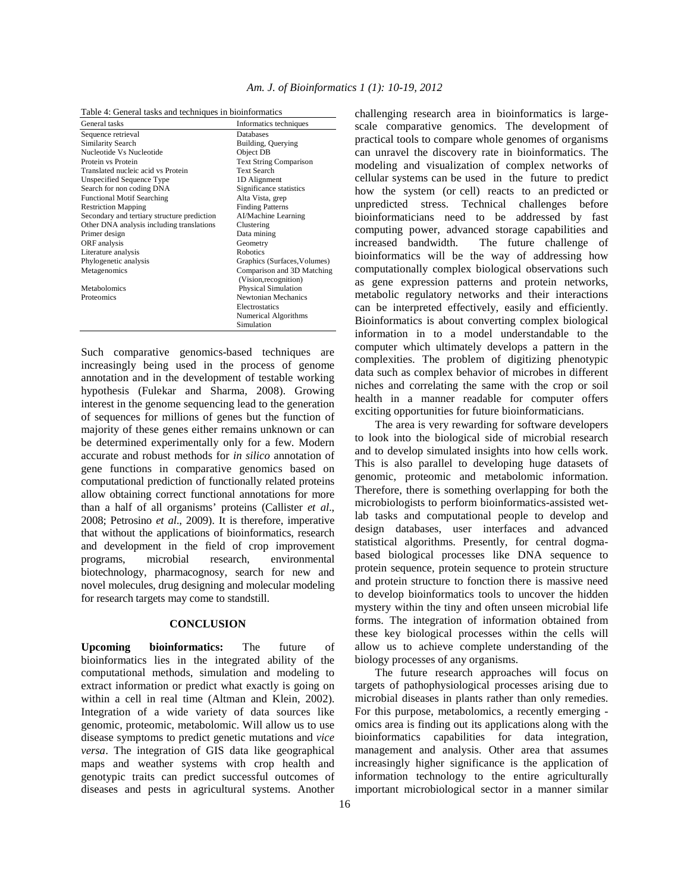| Table 4: General tasks and techniques in bioinformatics |                               |  |  |
|---------------------------------------------------------|-------------------------------|--|--|
| General tasks                                           | Informatics techniques        |  |  |
| Sequence retrieval                                      | Databases                     |  |  |
| Similarity Search                                       | Building, Querying            |  |  |
| Nucleotide Vs Nucleotide                                | Object DB                     |  |  |
| Protein vs Protein                                      | <b>Text String Comparison</b> |  |  |
| Translated nucleic acid vs Protein                      | <b>Text Search</b>            |  |  |
| Unspecified Sequence Type                               | 1D Alignment                  |  |  |
| Search for non coding DNA                               | Significance statistics       |  |  |
| <b>Functional Motif Searching</b>                       | Alta Vista, grep              |  |  |
| <b>Restriction Mapping</b>                              | <b>Finding Patterns</b>       |  |  |
| Secondary and tertiary structure prediction             | AI/Machine Learning           |  |  |
| Other DNA analysis including translations               | Clustering                    |  |  |
| Primer design                                           | Data mining                   |  |  |
| ORF analysis                                            | Geometry                      |  |  |
| Literature analysis                                     | <b>Robotics</b>               |  |  |
| Phylogenetic analysis                                   | Graphics (Surfaces, Volumes)  |  |  |
| Metagenomics                                            | Comparison and 3D Matching    |  |  |
|                                                         | (Vision, recognition)         |  |  |
| Metabolomics                                            | Physical Simulation           |  |  |
| Proteomics                                              | Newtonian Mechanics           |  |  |
|                                                         | Electrostatics                |  |  |
|                                                         | Numerical Algorithms          |  |  |
|                                                         | Simulation                    |  |  |

Such comparative genomics-based techniques are increasingly being used in the process of genome annotation and in the development of testable working hypothesis (Fulekar and Sharma, 2008). Growing interest in the genome sequencing lead to the generation of sequences for millions of genes but the function of majority of these genes either remains unknown or can be determined experimentally only for a few. Modern accurate and robust methods for *in silico* annotation of gene functions in comparative genomics based on computational prediction of functionally related proteins allow obtaining correct functional annotations for more than a half of all organisms' proteins (Callister *et al*., 2008; Petrosino *et al*., 2009). It is therefore, imperative that without the applications of bioinformatics, research and development in the field of crop improvement programs, microbial research, environmental biotechnology, pharmacognosy, search for new and novel molecules, drug designing and molecular modeling for research targets may come to standstill.

#### **CONCLUSION**

**Upcoming bioinformatics:** The future of bioinformatics lies in the integrated ability of the computational methods, simulation and modeling to extract information or predict what exactly is going on within a cell in real time (Altman and Klein, 2002). Integration of a wide variety of data sources like genomic, proteomic, metabolomic. Will allow us to use disease symptoms to predict genetic mutations and *vice versa*. The integration of GIS data like geographical maps and weather systems with crop health and genotypic traits can predict successful outcomes of diseases and pests in agricultural systems. Another

challenging research area in bioinformatics is largescale comparative genomics. The development of practical tools to compare whole genomes of organisms can unravel the discovery rate in bioinformatics. The modeling and visualization of complex networks of cellular systems can be used in the future to predict how the system (or cell) reacts to an predicted or unpredicted stress. Technical challenges before bioinformaticians need to be addressed by fast computing power, advanced storage capabilities and increased bandwidth. The future challenge of bioinformatics will be the way of addressing how computationally complex biological observations such as gene expression patterns and protein networks, metabolic regulatory networks and their interactions can be interpreted effectively, easily and efficiently. Bioinformatics is about converting complex biological information in to a model understandable to the computer which ultimately develops a pattern in the complexities. The problem of digitizing phenotypic data such as complex behavior of microbes in different niches and correlating the same with the crop or soil health in a manner readable for computer offers exciting opportunities for future bioinformaticians.

 The area is very rewarding for software developers to look into the biological side of microbial research and to develop simulated insights into how cells work. This is also parallel to developing huge datasets of genomic, proteomic and metabolomic information. Therefore, there is something overlapping for both the microbiologists to perform bioinformatics-assisted wetlab tasks and computational people to develop and design databases, user interfaces and advanced statistical algorithms. Presently, for central dogmabased biological processes like DNA sequence to protein sequence, protein sequence to protein structure and protein structure to fonction there is massive need to develop bioinformatics tools to uncover the hidden mystery within the tiny and often unseen microbial life forms. The integration of information obtained from these key biological processes within the cells will allow us to achieve complete understanding of the biology processes of any organisms.

 The future research approaches will focus on targets of pathophysiological processes arising due to microbial diseases in plants rather than only remedies. For this purpose, metabolomics, a recently emerging omics area is finding out its applications along with the bioinformatics capabilities for data integration, management and analysis. Other area that assumes increasingly higher significance is the application of information technology to the entire agriculturally important microbiological sector in a manner similar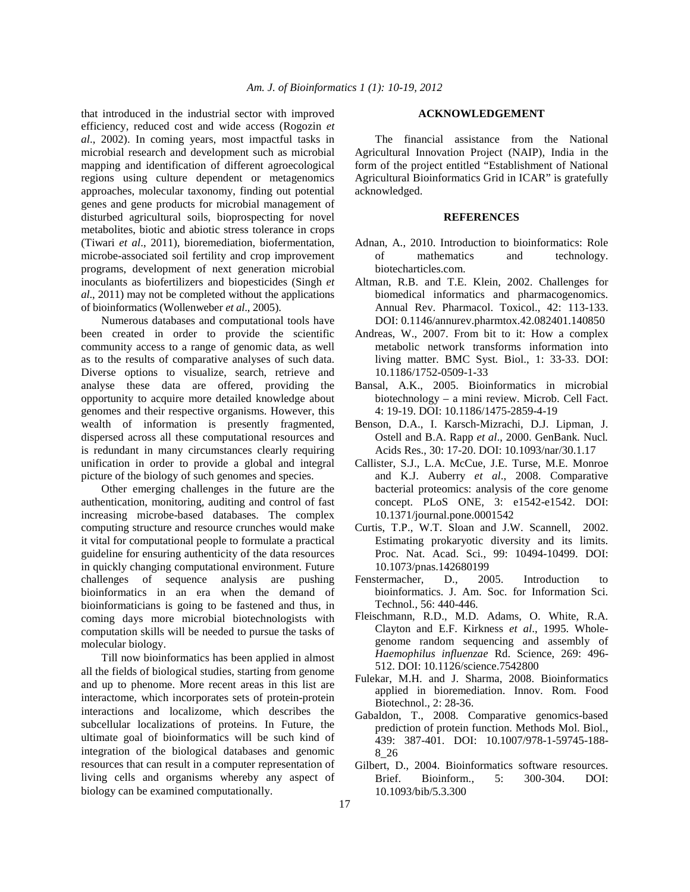that introduced in the industrial sector with improved efficiency, reduced cost and wide access (Rogozin *et al*., 2002). In coming years, most impactful tasks in microbial research and development such as microbial mapping and identification of different agroecological regions using culture dependent or metagenomics approaches, molecular taxonomy, finding out potential genes and gene products for microbial management of disturbed agricultural soils, bioprospecting for novel metabolites, biotic and abiotic stress tolerance in crops (Tiwari *et al*., 2011), bioremediation, biofermentation, microbe-associated soil fertility and crop improvement programs, development of next generation microbial inoculants as biofertilizers and biopesticides (Singh *et al*., 2011) may not be completed without the applications of bioinformatics (Wollenweber *et al*., 2005).

 Numerous databases and computational tools have been created in order to provide the scientific community access to a range of genomic data, as well as to the results of comparative analyses of such data. Diverse options to visualize, search, retrieve and analyse these data are offered, providing the opportunity to acquire more detailed knowledge about genomes and their respective organisms. However, this wealth of information is presently fragmented, dispersed across all these computational resources and is redundant in many circumstances clearly requiring unification in order to provide a global and integral picture of the biology of such genomes and species.

 Other emerging challenges in the future are the authentication, monitoring, auditing and control of fast increasing microbe-based databases. The complex computing structure and resource crunches would make it vital for computational people to formulate a practical guideline for ensuring authenticity of the data resources in quickly changing computational environment. Future challenges of sequence analysis are pushing bioinformatics in an era when the demand of bioinformaticians is going to be fastened and thus, in coming days more microbial biotechnologists with computation skills will be needed to pursue the tasks of molecular biology.

 Till now bioinformatics has been applied in almost all the fields of biological studies, starting from genome and up to phenome. More recent areas in this list are interactome, which incorporates sets of protein-protein interactions and localizome, which describes the subcellular localizations of proteins. In Future, the ultimate goal of bioinformatics will be such kind of integration of the biological databases and genomic resources that can result in a computer representation of living cells and organisms whereby any aspect of biology can be examined computationally.

#### **ACKNOWLEDGEMENT**

 The financial assistance from the National Agricultural Innovation Project (NAIP), India in the form of the project entitled "Establishment of National Agricultural Bioinformatics Grid in ICAR" is gratefully acknowledged.

### **REFERENCES**

- Adnan, A., 2010. Introduction to bioinformatics: Role of mathematics and technology. biotecharticles.com.
- Altman, R.B. and T.E. Klein, 2002. Challenges for biomedical informatics and pharmacogenomics. Annual Rev. Pharmacol. Toxicol., 42: 113-133. DOI: 0.1146/annurev.pharmtox.42.082401.140850
- Andreas, W., 2007. From bit to it: How a complex metabolic network transforms information into living matter. BMC Syst. Biol., 1: 33-33. DOI: 10.1186/1752-0509-1-33
- Bansal, A.K., 2005. Bioinformatics in microbial biotechnology – a mini review. Microb. Cell Fact. 4: 19-19. DOI: 10.1186/1475-2859-4-19
- Benson, D.A., I. Karsch*-*Mizrachi, D.J. Lipman*,* J. Ostell and B.A. Rapp *et al*., 2000. GenBank*.* Nucl*.*  Acids Res., 30: 17-20. DOI: 10.1093/nar/30.1.17
- Callister, S.J., L.A. McCue, J.E. Turse, M.E. Monroe and K.J. Auberry *et al*., 2008. Comparative bacterial proteomics: analysis of the core genome concept. PLoS ONE, 3: e1542-e1542. DOI: 10.1371/journal.pone.0001542
- Curtis, T.P., W.T. Sloan and J.W. Scannell, 2002. Estimating prokaryotic diversity and its limits. Proc. Nat. Acad. Sci., 99: 10494-10499. DOI: 10.1073/pnas.142680199
- Fenstermacher, D., 2005. Introduction to bioinformatics. J. Am. Soc. for Information Sci. Technol., 56: 440-446.
- Fleischmann, R.D., M.D. Adams, O. White, R.A. Clayton and E.F. Kirkness *et al*., 1995. Wholegenome random sequencing and assembly of *Haemophilus influenzae* Rd. Science, 269: 496- 512. DOI: 10.1126/science.7542800
- Fulekar, M.H. and J. Sharma, 2008. Bioinformatics applied in bioremediation. Innov. Rom. Food Biotechnol., 2: 28-36.
- Gabaldon, T., 2008. Comparative genomics-based prediction of protein function. Methods Mol. Biol., 439: 387-401. DOI: 10.1007/978-1-59745-188- 8\_26
- Gilbert, D., 2004. Bioinformatics software resources. Brief. Bioinform., 5: 300-304. DOI: 10.1093/bib/5.3.300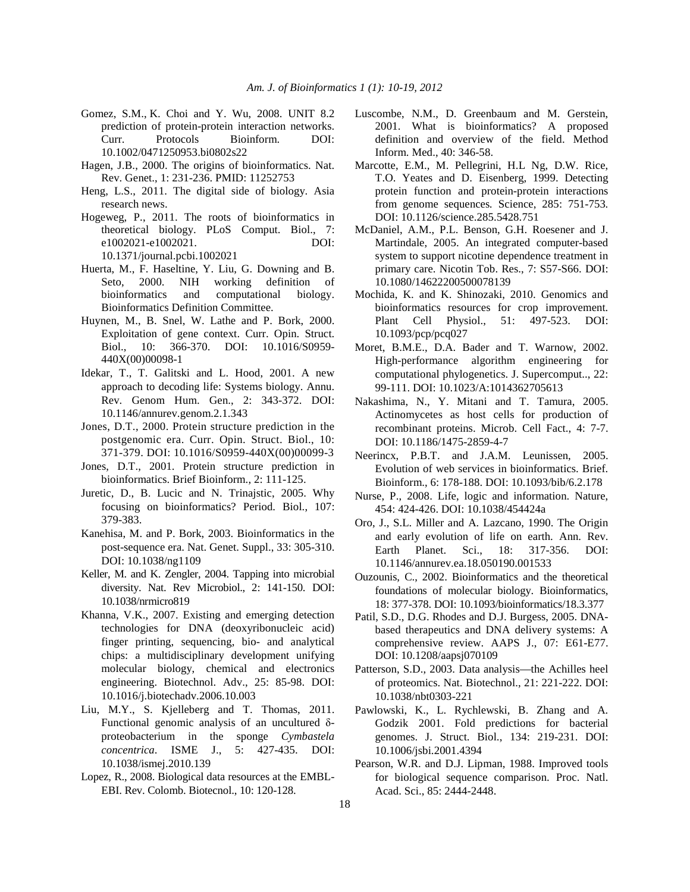- Gomez, S.M., K. Choi and Y. Wu, 2008. UNIT 8.2 prediction of protein-protein interaction networks. Curr. Protocols Bioinform. DOI: 10.1002/0471250953.bi0802s22
- Hagen, J.B., 2000. The origins of bioinformatics. Nat. Rev. Genet., 1: 231-236. PMID: 11252753
- Heng, L.S., 2011. The digital side of biology. Asia research news.
- Hogeweg, P., 2011. The roots of bioinformatics in theoretical biology. PLoS Comput. Biol., 7: e1002021-e1002021. DOI: 10.1371/journal.pcbi.1002021
- Huerta, M., F. Haseltine, Y. Liu, G. Downing and B. Seto, 2000. NIH working definition of bioinformatics and computational biology. Bioinformatics Definition Committee.
- Huynen, M., B. Snel, W. Lathe and P. Bork, 2000. Exploitation of gene context. Curr. Opin. Struct. Biol., 10: 366-370. DOI: 10.1016/S0959- 440X(00)00098-1
- Idekar, T., T. Galitski and L. Hood, 2001. A new approach to decoding life: Systems biology. Annu. Rev. Genom Hum. Gen., 2: 343-372. DOI: 10.1146/annurev.genom.2.1.343
- Jones, D.T., 2000. Protein structure prediction in the postgenomic era. Curr. Opin. Struct. Biol., 10: 371-379. DOI: 10.1016/S0959-440X(00)00099-3
- Jones, D.T., 2001. Protein structure prediction in bioinformatics. Brief Bioinform., 2: 111-125.
- Juretic, D., B. Lucic and N. Trinajstic, 2005. Why focusing on bioinformatics? Period. Biol., 107: 379-383.
- Kanehisa, M. and P. Bork, 2003. Bioinformatics in the post-sequence era. Nat. Genet. Suppl., 33: 305-310. DOI: 10.1038/ng1109
- Keller, M. and K. Zengler, 2004. Tapping into microbial diversity. Nat. Rev Microbiol., 2: 141-150. DOI: 10.1038/nrmicro819
- Khanna, V.K., 2007. Existing and emerging detection technologies for DNA (deoxyribonucleic acid) finger printing, sequencing, bio- and analytical chips: a multidisciplinary development unifying molecular biology, chemical and electronics engineering. Biotechnol. Adv., 25: 85-98. DOI: 10.1016/j.biotechadv.2006.10.003
- Liu, M.Y., S. Kjelleberg and T. Thomas, 2011. Functional genomic analysis of an uncultured δproteobacterium in the sponge *Cymbastela concentrica*. ISME J., 5: 427-435. DOI: 10.1038/ismej.2010.139
- Lopez, R., 2008. Biological data resources at the EMBL-EBI. Rev. Colomb. Biotecnol., 10: 120-128.
- Luscombe, N.M., D. Greenbaum and M. Gerstein, 2001. What is bioinformatics? A proposed definition and overview of the field. Method Inform. Med., 40: 346-58.
- Marcotte, E.M.*,* M. Pellegrini, H.L Ng, D.W. Rice, T.O. Yeates and D. Eisenberg, 1999. Detecting protein function and protein-protein interactions from genome sequences*.* Science, 285: 751-753*.* DOI: 10.1126/science.285.5428.751
- McDaniel, A.M., P.L. Benson, G.H. Roesener and J. Martindale, 2005. An integrated computer-based system to support nicotine dependence treatment in primary care. Nicotin Tob. Res., 7: S57-S66. DOI: 10.1080/14622200500078139
- Mochida, K. and K. Shinozaki, 2010. Genomics and bioinformatics resources for crop improvement. Plant Cell Physiol., 51: 497-523. DOI: 10.1093/pcp/pcq027
- Moret, B.M.E., D.A. Bader and T. Warnow, 2002. High-performance algorithm engineering for computational phylogenetics. J. Supercomput.., 22: 99-111. DOI: 10.1023/A:1014362705613
- Nakashima, N., Y. Mitani and T. Tamura, 2005. Actinomycetes as host cells for production of recombinant proteins. Microb. Cell Fact., 4: 7-7. DOI: 10.1186/1475-2859-4-7
- Neerincx, P.B.T. and J.A.M. Leunissen, 2005. Evolution of web services in bioinformatics. Brief. Bioinform., 6: 178-188. DOI: 10.1093/bib/6.2.178
- Nurse, P., 2008. Life, logic and information. Nature, 454: 424-426. DOI: 10.1038/454424a
- Oro, J., S.L. Miller and A. Lazcano, 1990. The Origin and early evolution of life on earth. Ann. Rev. Earth Planet. Sci., 18: 317-356. DOI: 10.1146/annurev.ea.18.050190.001533
- Ouzounis, C., 2002. Bioinformatics and the theoretical foundations of molecular biology. Bioinformatics, 18: 377-378. DOI: 10.1093/bioinformatics/18.3.377
- Patil, S.D., D.G. Rhodes and D.J. Burgess, 2005. DNAbased therapeutics and DNA delivery systems: A comprehensive review. AAPS J., 07: E61-E77. DOI: 10.1208/aapsj070109
- Patterson, S.D., 2003. Data analysis—the Achilles heel of proteomics. Nat. Biotechnol., 21: 221-222. DOI: 10.1038/nbt0303-221
- Pawlowski, K., L. Rychlewski, B. Zhang and A. Godzik 2001. Fold predictions for bacterial genomes. J. Struct. Biol., 134: 219-231. DOI: 10.1006/jsbi.2001.4394
- Pearson, W.R. and D.J. Lipman, 1988. Improved tools for biological sequence comparison. Proc. Natl. Acad. Sci., 85: 2444-2448.